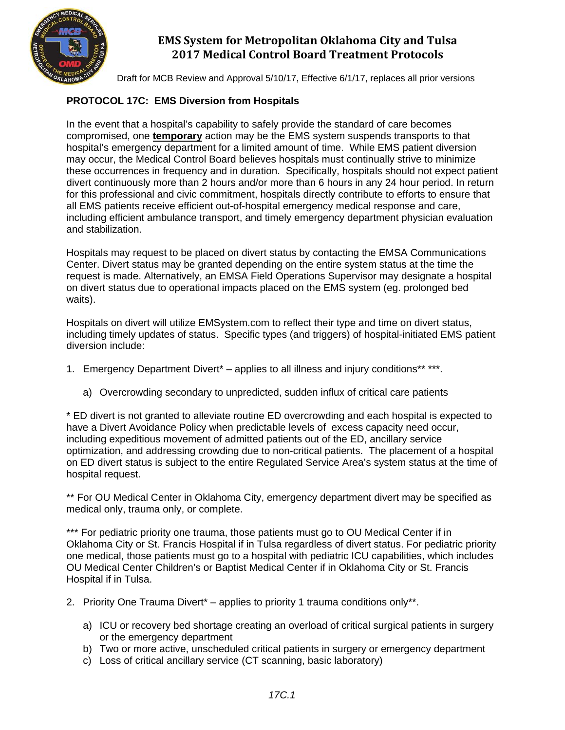

Draft for MCB Review and Approval 5/10/17, Effective 6/1/17, replaces all prior versions

### **PROTOCOL 17C: EMS Diversion from Hospitals**

In the event that a hospital's capability to safely provide the standard of care becomes compromised, one **temporary** action may be the EMS system suspends transports to that hospital's emergency department for a limited amount of time. While EMS patient diversion may occur, the Medical Control Board believes hospitals must continually strive to minimize these occurrences in frequency and in duration. Specifically, hospitals should not expect patient divert continuously more than 2 hours and/or more than 6 hours in any 24 hour period. In return for this professional and civic commitment, hospitals directly contribute to efforts to ensure that all EMS patients receive efficient out-of-hospital emergency medical response and care, including efficient ambulance transport, and timely emergency department physician evaluation and stabilization.

Hospitals may request to be placed on divert status by contacting the EMSA Communications Center. Divert status may be granted depending on the entire system status at the time the request is made. Alternatively, an EMSA Field Operations Supervisor may designate a hospital on divert status due to operational impacts placed on the EMS system (eg. prolonged bed waits).

Hospitals on divert will utilize EMSystem.com to reflect their type and time on divert status, including timely updates of status. Specific types (and triggers) of hospital-initiated EMS patient diversion include:

- 1. Emergency Department Divert<sup>\*</sup> applies to all illness and injury conditions\*\* \*\*\*.
	- a) Overcrowding secondary to unpredicted, sudden influx of critical care patients

\* ED divert is not granted to alleviate routine ED overcrowding and each hospital is expected to have a Divert Avoidance Policy when predictable levels of excess capacity need occur, including expeditious movement of admitted patients out of the ED, ancillary service optimization, and addressing crowding due to non-critical patients. The placement of a hospital on ED divert status is subject to the entire Regulated Service Area's system status at the time of hospital request.

\*\* For OU Medical Center in Oklahoma City, emergency department divert may be specified as medical only, trauma only, or complete.

\*\*\* For pediatric priority one trauma, those patients must go to OU Medical Center if in Oklahoma City or St. Francis Hospital if in Tulsa regardless of divert status. For pediatric priority one medical, those patients must go to a hospital with pediatric ICU capabilities, which includes OU Medical Center Children's or Baptist Medical Center if in Oklahoma City or St. Francis Hospital if in Tulsa.

- 2. Priority One Trauma Divert\* applies to priority 1 trauma conditions only\*\*.
	- a) ICU or recovery bed shortage creating an overload of critical surgical patients in surgery or the emergency department
	- b) Two or more active, unscheduled critical patients in surgery or emergency department
	- c) Loss of critical ancillary service (CT scanning, basic laboratory)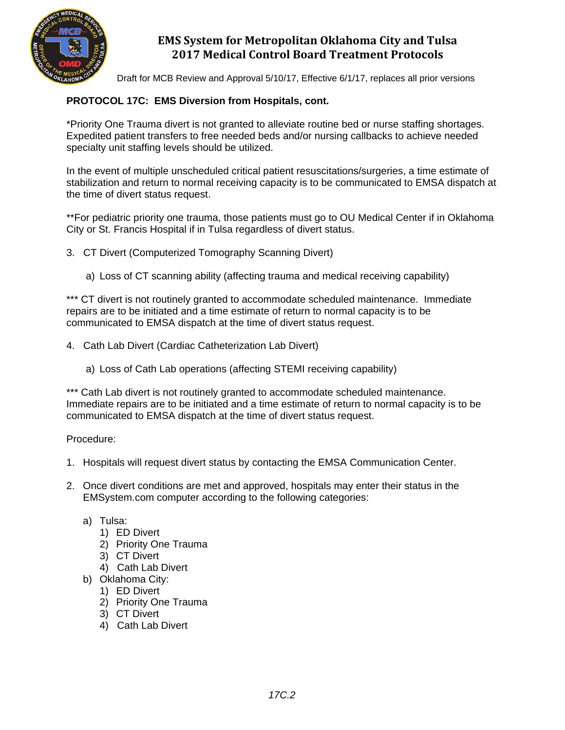

Draft for MCB Review and Approval 5/10/17, Effective 6/1/17, replaces all prior versions

### **PROTOCOL 17C: EMS Diversion from Hospitals, cont.**

\*Priority One Trauma divert is not granted to alleviate routine bed or nurse staffing shortages. Expedited patient transfers to free needed beds and/or nursing callbacks to achieve needed specialty unit staffing levels should be utilized.

In the event of multiple unscheduled critical patient resuscitations/surgeries, a time estimate of stabilization and return to normal receiving capacity is to be communicated to EMSA dispatch at the time of divert status request.

\*\*For pediatric priority one trauma, those patients must go to OU Medical Center if in Oklahoma City or St. Francis Hospital if in Tulsa regardless of divert status.

3. CT Divert (Computerized Tomography Scanning Divert)

a) Loss of CT scanning ability (affecting trauma and medical receiving capability)

\*\*\* CT divert is not routinely granted to accommodate scheduled maintenance. Immediate repairs are to be initiated and a time estimate of return to normal capacity is to be communicated to EMSA dispatch at the time of divert status request.

- 4. Cath Lab Divert (Cardiac Catheterization Lab Divert)
	- a) Loss of Cath Lab operations (affecting STEMI receiving capability)

\*\*\* Cath Lab divert is not routinely granted to accommodate scheduled maintenance. Immediate repairs are to be initiated and a time estimate of return to normal capacity is to be communicated to EMSA dispatch at the time of divert status request.

Procedure:

- 1. Hospitals will request divert status by contacting the EMSA Communication Center.
- 2. Once divert conditions are met and approved, hospitals may enter their status in the EMSystem.com computer according to the following categories:
	- a) Tulsa:
		- 1) ED Divert
		- 2) Priority One Trauma
		- 3) CT Divert
		- 4) Cath Lab Divert
	- b) Oklahoma City:
		- 1) ED Divert
		- 2) Priority One Trauma
		- 3) CT Divert
		- 4) Cath Lab Divert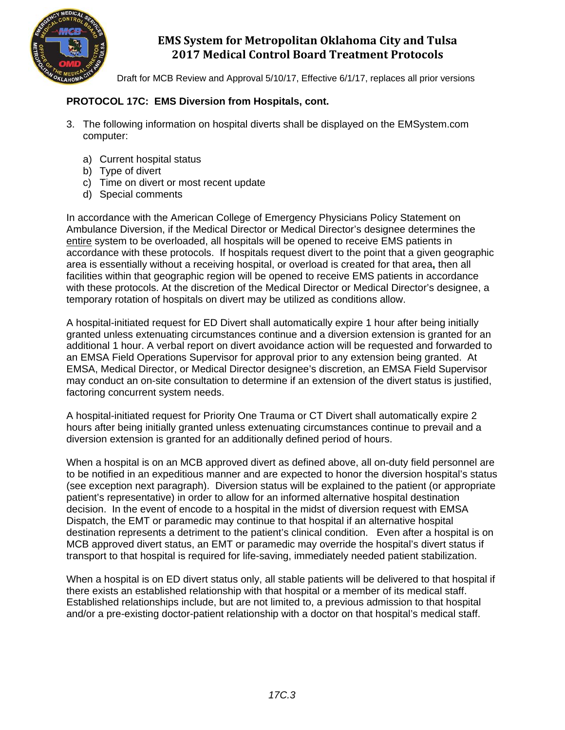

Draft for MCB Review and Approval 5/10/17, Effective 6/1/17, replaces all prior versions

#### **PROTOCOL 17C: EMS Diversion from Hospitals, cont.**

- 3. The following information on hospital diverts shall be displayed on the EMSystem.com computer:
	- a) Current hospital status
	- b) Type of divert
	- c) Time on divert or most recent update
	- d) Special comments

In accordance with the American College of Emergency Physicians Policy Statement on Ambulance Diversion, if the Medical Director or Medical Director's designee determines the entire system to be overloaded, all hospitals will be opened to receive EMS patients in accordance with these protocols. If hospitals request divert to the point that a given geographic area is essentially without a receiving hospital, or overload is created for that area**,** then all facilities within that geographic region will be opened to receive EMS patients in accordance with these protocols. At the discretion of the Medical Director or Medical Director's designee, a temporary rotation of hospitals on divert may be utilized as conditions allow.

A hospital-initiated request for ED Divert shall automatically expire 1 hour after being initially granted unless extenuating circumstances continue and a diversion extension is granted for an additional 1 hour. A verbal report on divert avoidance action will be requested and forwarded to an EMSA Field Operations Supervisor for approval prior to any extension being granted. At EMSA, Medical Director, or Medical Director designee's discretion, an EMSA Field Supervisor may conduct an on-site consultation to determine if an extension of the divert status is justified, factoring concurrent system needs.

A hospital-initiated request for Priority One Trauma or CT Divert shall automatically expire 2 hours after being initially granted unless extenuating circumstances continue to prevail and a diversion extension is granted for an additionally defined period of hours.

When a hospital is on an MCB approved divert as defined above, all on-duty field personnel are to be notified in an expeditious manner and are expected to honor the diversion hospital's status (see exception next paragraph). Diversion status will be explained to the patient (or appropriate patient's representative) in order to allow for an informed alternative hospital destination decision. In the event of encode to a hospital in the midst of diversion request with EMSA Dispatch, the EMT or paramedic may continue to that hospital if an alternative hospital destination represents a detriment to the patient's clinical condition. Even after a hospital is on MCB approved divert status, an EMT or paramedic may override the hospital's divert status if transport to that hospital is required for life-saving, immediately needed patient stabilization.

When a hospital is on ED divert status only, all stable patients will be delivered to that hospital if there exists an established relationship with that hospital or a member of its medical staff. Established relationships include, but are not limited to, a previous admission to that hospital and/or a pre-existing doctor-patient relationship with a doctor on that hospital's medical staff.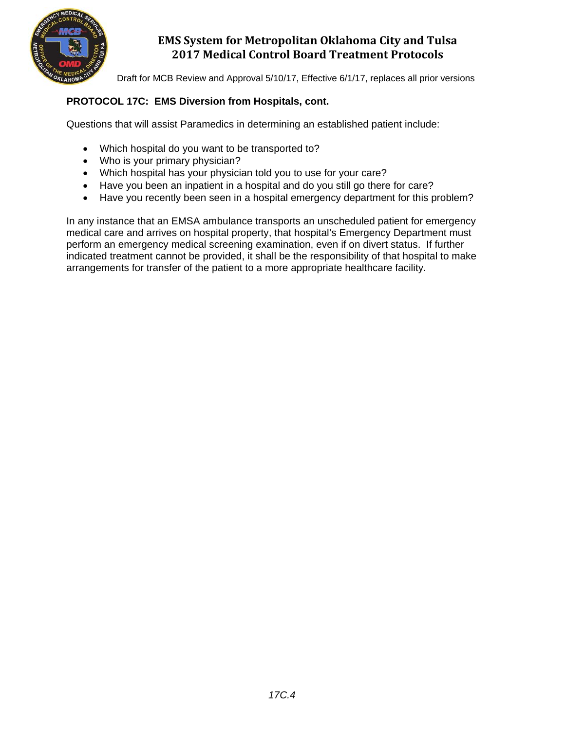

Draft for MCB Review and Approval 5/10/17, Effective 6/1/17, replaces all prior versions

### **PROTOCOL 17C: EMS Diversion from Hospitals, cont.**

Questions that will assist Paramedics in determining an established patient include:

- Which hospital do you want to be transported to?
- Who is your primary physician?
- Which hospital has your physician told you to use for your care?
- Have you been an inpatient in a hospital and do you still go there for care?
- Have you recently been seen in a hospital emergency department for this problem?

In any instance that an EMSA ambulance transports an unscheduled patient for emergency medical care and arrives on hospital property, that hospital's Emergency Department must perform an emergency medical screening examination, even if on divert status. If further indicated treatment cannot be provided, it shall be the responsibility of that hospital to make arrangements for transfer of the patient to a more appropriate healthcare facility.